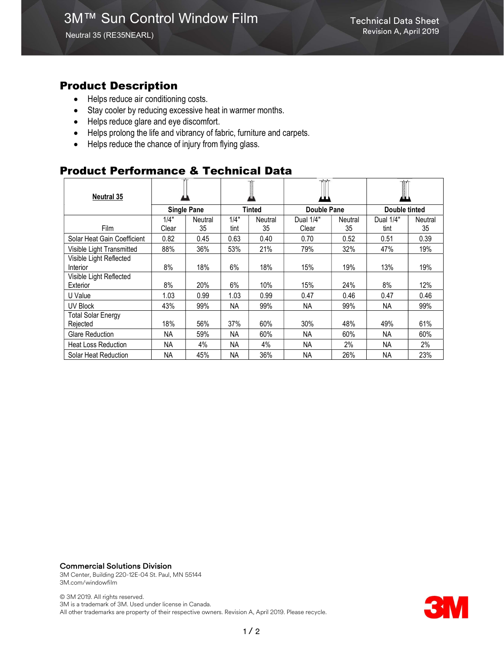### Product Description

- Helps reduce air conditioning costs.
- Stay cooler by reducing excessive heat in warmer months.
- Helps reduce glare and eye discomfort.
- Helps prolong the life and vibrancy of fabric, furniture and carpets.
- Helps reduce the chance of injury from flying glass.

## Product Performance & Technical Data

| <b>Neutral 35</b>                     |                    |         |           |         |                    |         | T<br>Ø.       |         |
|---------------------------------------|--------------------|---------|-----------|---------|--------------------|---------|---------------|---------|
|                                       | <b>Single Pane</b> |         | Tinted    |         | <b>Double Pane</b> |         | Double tinted |         |
|                                       | 1/4"               | Neutral | 1/4"      | Neutral | Dual 1/4"          | Neutral | Dual 1/4"     | Neutral |
| <b>Film</b>                           | Clear              | 35      | tint      | 35      | Clear              | 35      | tint          | 35      |
| Solar Heat Gain Coefficient           | 0.82               | 0.45    | 0.63      | 0.40    | 0.70               | 0.52    | 0.51          | 0.39    |
| Visible Light Transmitted             | 88%                | 36%     | 53%       | 21%     | 79%                | 32%     | 47%           | 19%     |
| Visible Light Reflected<br>Interior   | 8%                 | 18%     | 6%        | 18%     | 15%                | 19%     | 13%           | 19%     |
| Visible Light Reflected<br>Exterior   | 8%                 | 20%     | 6%        | 10%     | 15%                | 24%     | 8%            | 12%     |
| U Value                               | 1.03               | 0.99    | 1.03      | 0.99    | 0.47               | 0.46    | 0.47          | 0.46    |
| <b>UV Block</b>                       | 43%                | 99%     | <b>NA</b> | 99%     | <b>NA</b>          | 99%     | <b>NA</b>     | 99%     |
| <b>Total Solar Energy</b><br>Rejected | 18%                | 56%     | 37%       | 60%     | 30%                | 48%     | 49%           | 61%     |
| Glare Reduction                       | NА                 | 59%     | <b>NA</b> | 60%     | NA.                | 60%     | <b>NA</b>     | 60%     |
| <b>Heat Loss Reduction</b>            | ΝA                 | 4%      | NA        | 4%      | NА                 | 2%      | NA            | 2%      |
| Solar Heat Reduction                  | NA                 | 45%     | <b>NA</b> | 36%     | <b>NA</b>          | 26%     | <b>NA</b>     | 23%     |

#### Commercial Solutions Division

3M Center, Building 220-12E-04 St. Paul, MN 55144 3M.com/windowfilm

© 3M 2019. All rights reserved. 3M is a trademark of 3M. Used under license in Canada. All other trademarks are property of their respective owners. Revision A, April 2019. Please recycle.